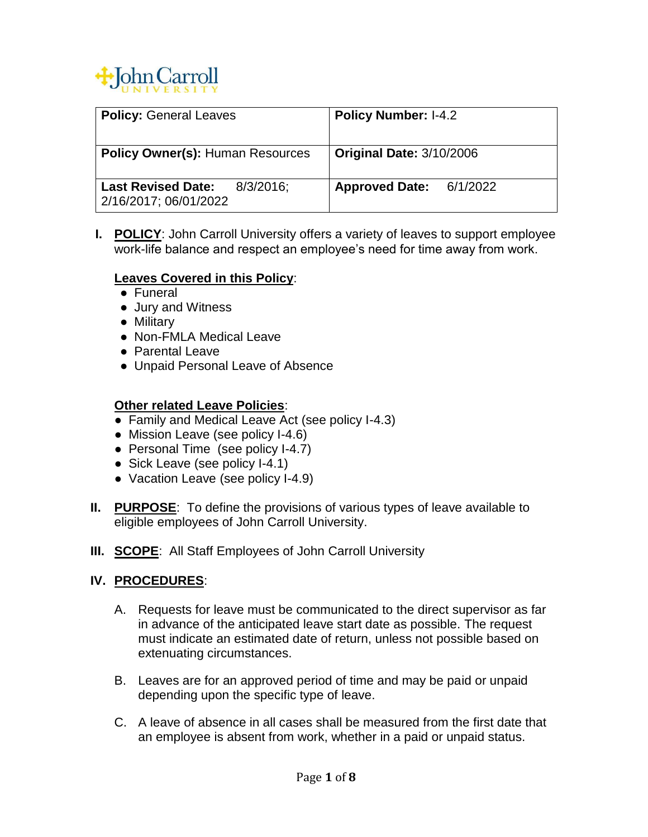

| <b>Policy: General Leaves</b>                                      | <b>Policy Number: I-4.2</b>       |
|--------------------------------------------------------------------|-----------------------------------|
| <b>Policy Owner(s): Human Resources</b>                            | <b>Original Date: 3/10/2006</b>   |
| <b>Last Revised Date:</b><br>$8/3/2016$ ;<br>2/16/2017; 06/01/2022 | 6/1/2022<br><b>Approved Date:</b> |

**I. POLICY**: John Carroll University offers a variety of leaves to support employee work-life balance and respect an employee's need for time away from work.

### **Leaves Covered in this Policy**:

- Funeral
- Jury and Witness
- Military
- Non-FMLA Medical Leave
- Parental Leave
- Unpaid Personal Leave of Absence

### **Other related Leave Policies**:

- Family and Medical Leave Act (see policy I-4.3)
- Mission Leave (see policy I-4.6)
- Personal Time (see policy I-4.7)
- Sick Leave (see policy I-4.1)
- Vacation Leave (see policy I-4.9)
- **II. PURPOSE**: To define the provisions of various types of leave available to eligible employees of John Carroll University.
- **III. SCOPE:** All Staff Employees of John Carroll University

### **IV. PROCEDURES**:

- A. Requests for leave must be communicated to the direct supervisor as far in advance of the anticipated leave start date as possible. The request must indicate an estimated date of return, unless not possible based on extenuating circumstances.
- B. Leaves are for an approved period of time and may be paid or unpaid depending upon the specific type of leave.
- C. A leave of absence in all cases shall be measured from the first date that an employee is absent from work, whether in a paid or unpaid status.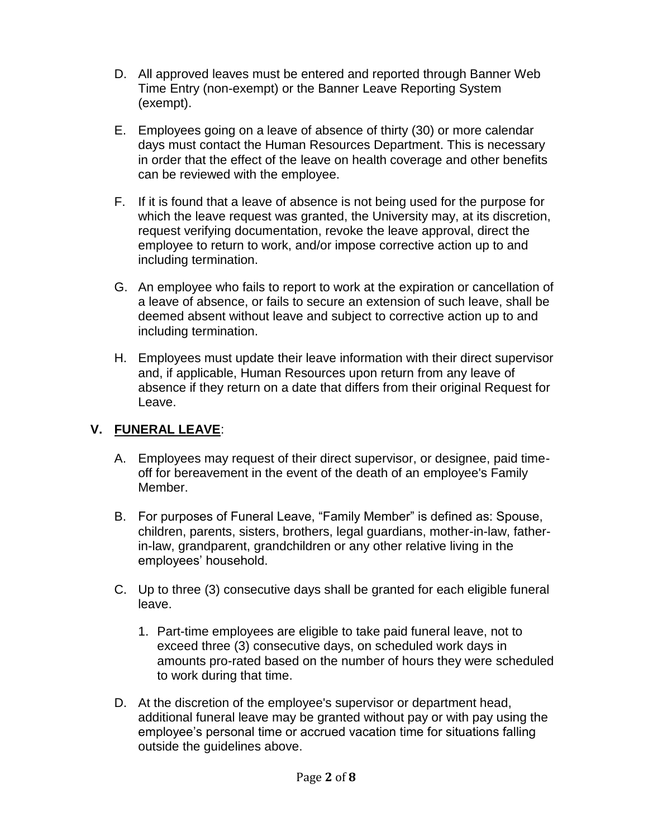- D. All approved leaves must be entered and reported through Banner Web Time Entry (non-exempt) or the Banner Leave Reporting System (exempt).
- E. Employees going on a leave of absence of thirty (30) or more calendar days must contact the Human Resources Department. This is necessary in order that the effect of the leave on health coverage and other benefits can be reviewed with the employee.
- F. If it is found that a leave of absence is not being used for the purpose for which the leave request was granted, the University may, at its discretion, request verifying documentation, revoke the leave approval, direct the employee to return to work, and/or impose corrective action up to and including termination.
- G. An employee who fails to report to work at the expiration or cancellation of a leave of absence, or fails to secure an extension of such leave, shall be deemed absent without leave and subject to corrective action up to and including termination.
- H. Employees must update their leave information with their direct supervisor and, if applicable, Human Resources upon return from any leave of absence if they return on a date that differs from their original Request for Leave.

## **V. FUNERAL LEAVE**:

- A. Employees may request of their direct supervisor, or designee, paid timeoff for bereavement in the event of the death of an employee's Family Member.
- B. For purposes of Funeral Leave, "Family Member" is defined as: Spouse, children, parents, sisters, brothers, legal guardians, mother-in-law, fatherin-law, grandparent, grandchildren or any other relative living in the employees' household.
- C. Up to three (3) consecutive days shall be granted for each eligible funeral leave.
	- 1. Part-time employees are eligible to take paid funeral leave, not to exceed three (3) consecutive days, on scheduled work days in amounts pro-rated based on the number of hours they were scheduled to work during that time.
- D. At the discretion of the employee's supervisor or department head, additional funeral leave may be granted without pay or with pay using the employee's personal time or accrued vacation time for situations falling outside the guidelines above.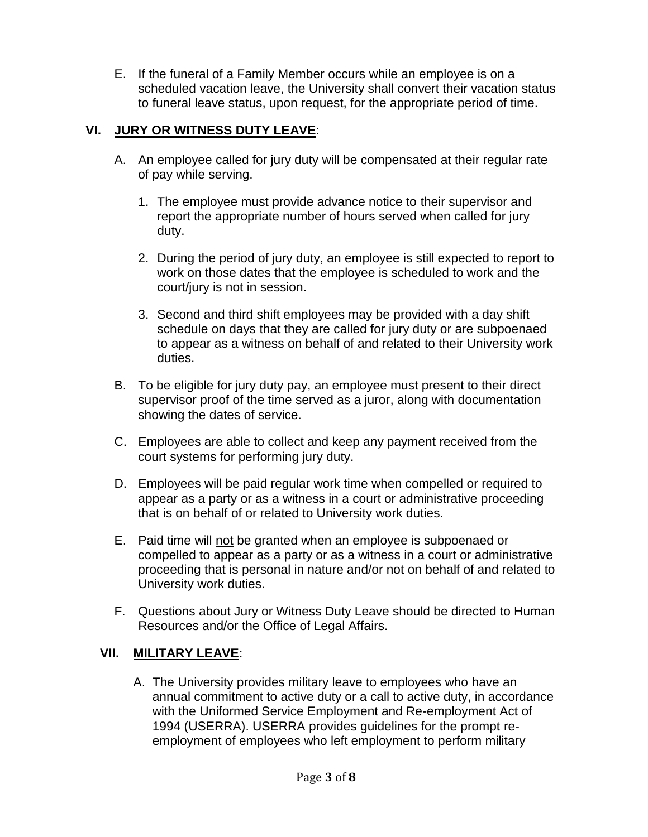E. If the funeral of a Family Member occurs while an employee is on a scheduled vacation leave, the University shall convert their vacation status to funeral leave status, upon request, for the appropriate period of time.

## **VI. JURY OR WITNESS DUTY LEAVE**:

- A. An employee called for jury duty will be compensated at their regular rate of pay while serving.
	- 1. The employee must provide advance notice to their supervisor and report the appropriate number of hours served when called for jury duty.
	- 2. During the period of jury duty, an employee is still expected to report to work on those dates that the employee is scheduled to work and the court/jury is not in session.
	- 3. Second and third shift employees may be provided with a day shift schedule on days that they are called for jury duty or are subpoenaed to appear as a witness on behalf of and related to their University work duties.
- B. To be eligible for jury duty pay, an employee must present to their direct supervisor proof of the time served as a juror, along with documentation showing the dates of service.
- C. Employees are able to collect and keep any payment received from the court systems for performing jury duty.
- D. Employees will be paid regular work time when compelled or required to appear as a party or as a witness in a court or administrative proceeding that is on behalf of or related to University work duties.
- E. Paid time will not be granted when an employee is subpoenaed or compelled to appear as a party or as a witness in a court or administrative proceeding that is personal in nature and/or not on behalf of and related to University work duties.
- F. Questions about Jury or Witness Duty Leave should be directed to Human Resources and/or the Office of Legal Affairs.

# **VII. MILITARY LEAVE**:

A. The University provides military leave to employees who have an annual commitment to active duty or a call to active duty, in accordance with the Uniformed Service Employment and Re-employment Act of 1994 (USERRA). USERRA provides guidelines for the prompt reemployment of employees who left employment to perform military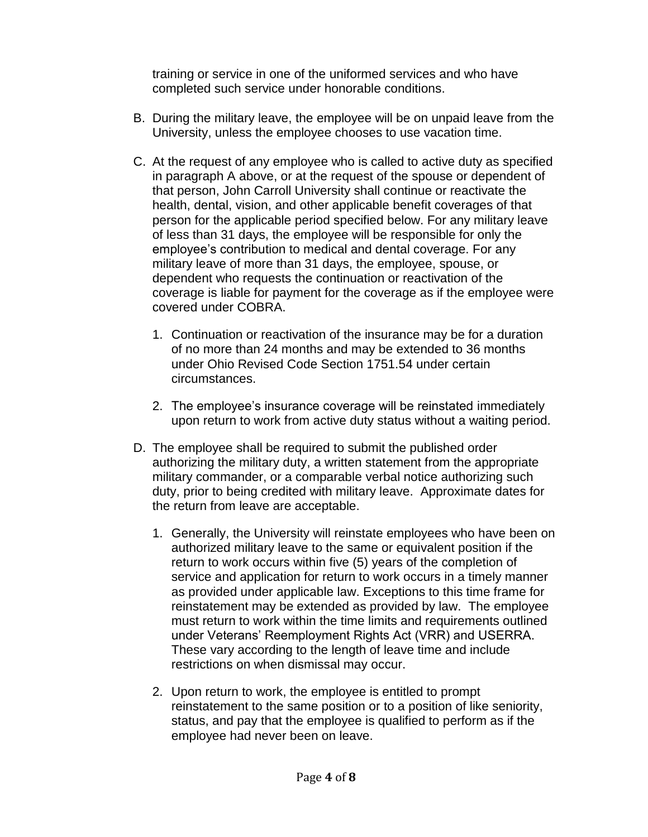training or service in one of the uniformed services and who have completed such service under honorable conditions.

- B. During the military leave, the employee will be on unpaid leave from the University, unless the employee chooses to use vacation time.
- C. At the request of any employee who is called to active duty as specified in paragraph A above, or at the request of the spouse or dependent of that person, John Carroll University shall continue or reactivate the health, dental, vision, and other applicable benefit coverages of that person for the applicable period specified below. For any military leave of less than 31 days, the employee will be responsible for only the employee's contribution to medical and dental coverage. For any military leave of more than 31 days, the employee, spouse, or dependent who requests the continuation or reactivation of the coverage is liable for payment for the coverage as if the employee were covered under COBRA.
	- 1. Continuation or reactivation of the insurance may be for a duration of no more than 24 months and may be extended to 36 months under Ohio Revised Code Section 1751.54 under certain circumstances.
	- 2. The employee's insurance coverage will be reinstated immediately upon return to work from active duty status without a waiting period.
- D. The employee shall be required to submit the published order authorizing the military duty, a written statement from the appropriate military commander, or a comparable verbal notice authorizing such duty, prior to being credited with military leave. Approximate dates for the return from leave are acceptable.
	- 1. Generally, the University will reinstate employees who have been on authorized military leave to the same or equivalent position if the return to work occurs within five (5) years of the completion of service and application for return to work occurs in a timely manner as provided under applicable law. Exceptions to this time frame for reinstatement may be extended as provided by law. The employee must return to work within the time limits and requirements outlined under Veterans' Reemployment Rights Act (VRR) and USERRA. These vary according to the length of leave time and include restrictions on when dismissal may occur.
	- 2. Upon return to work, the employee is entitled to prompt reinstatement to the same position or to a position of like seniority, status, and pay that the employee is qualified to perform as if the employee had never been on leave.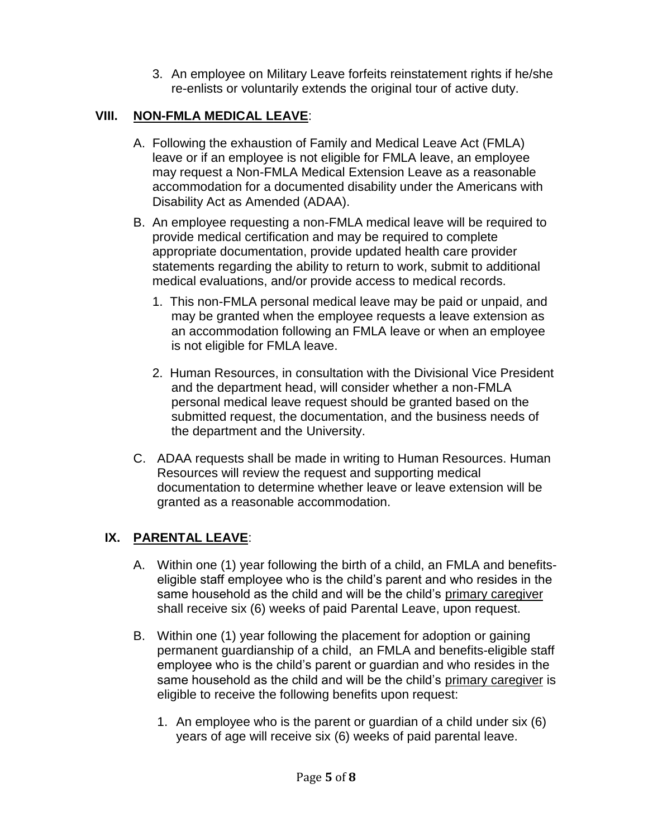3. An employee on Military Leave forfeits reinstatement rights if he/she re-enlists or voluntarily extends the original tour of active duty.

# **VIII. NON-FMLA MEDICAL LEAVE**:

- A. Following the exhaustion of Family and Medical Leave Act (FMLA) leave or if an employee is not eligible for FMLA leave, an employee may request a Non-FMLA Medical Extension Leave as a reasonable accommodation for a documented disability under the Americans with Disability Act as Amended (ADAA).
- B. An employee requesting a non-FMLA medical leave will be required to provide medical certification and may be required to complete appropriate documentation, provide updated health care provider statements regarding the ability to return to work, submit to additional medical evaluations, and/or provide access to medical records.
	- 1. This non-FMLA personal medical leave may be paid or unpaid, and may be granted when the employee requests a leave extension as an accommodation following an FMLA leave or when an employee is not eligible for FMLA leave.
	- 2. Human Resources, in consultation with the Divisional Vice President and the department head, will consider whether a non-FMLA personal medical leave request should be granted based on the submitted request, the documentation, and the business needs of the department and the University.
- C. ADAA requests shall be made in writing to Human Resources. Human Resources will review the request and supporting medical documentation to determine whether leave or leave extension will be granted as a reasonable accommodation.

## **IX. PARENTAL LEAVE**:

- A. Within one (1) year following the birth of a child, an FMLA and benefitseligible staff employee who is the child's parent and who resides in the same household as the child and will be the child's primary caregiver shall receive six (6) weeks of paid Parental Leave, upon request.
- B. Within one (1) year following the placement for adoption or gaining permanent guardianship of a child, an FMLA and benefits-eligible staff employee who is the child's parent or guardian and who resides in the same household as the child and will be the child's primary caregiver is eligible to receive the following benefits upon request:
	- 1. An employee who is the parent or guardian of a child under six (6) years of age will receive six (6) weeks of paid parental leave.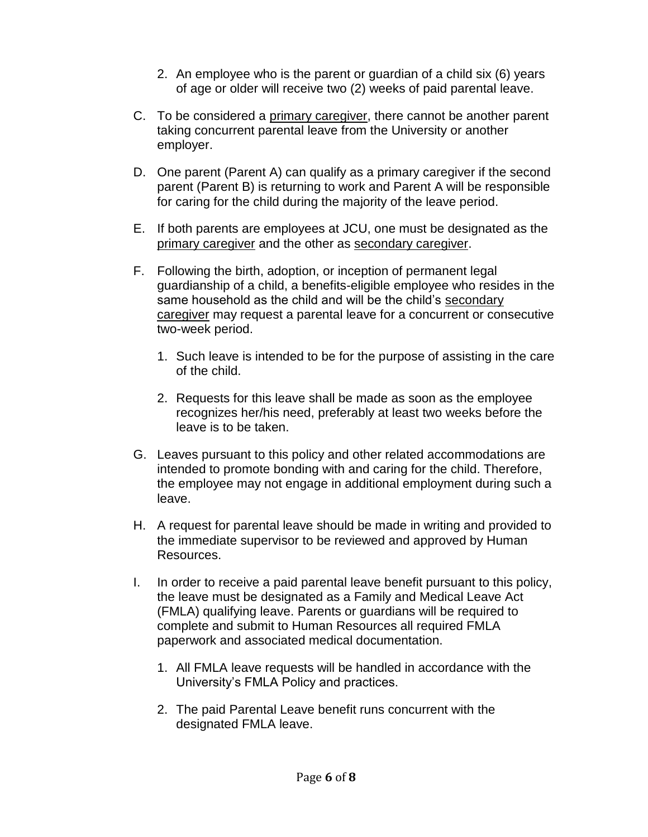- 2. An employee who is the parent or guardian of a child six (6) years of age or older will receive two (2) weeks of paid parental leave.
- C. To be considered a primary caregiver, there cannot be another parent taking concurrent parental leave from the University or another employer.
- D. One parent (Parent A) can qualify as a primary caregiver if the second parent (Parent B) is returning to work and Parent A will be responsible for caring for the child during the majority of the leave period.
- E. If both parents are employees at JCU, one must be designated as the primary caregiver and the other as secondary caregiver.
- F. Following the birth, adoption, or inception of permanent legal guardianship of a child, a benefits-eligible employee who resides in the same household as the child and will be the child's secondary caregiver may request a parental leave for a concurrent or consecutive two-week period.
	- 1. Such leave is intended to be for the purpose of assisting in the care of the child.
	- 2. Requests for this leave shall be made as soon as the employee recognizes her/his need, preferably at least two weeks before the leave is to be taken.
- G. Leaves pursuant to this policy and other related accommodations are intended to promote bonding with and caring for the child. Therefore, the employee may not engage in additional employment during such a leave.
- H. A request for parental leave should be made in writing and provided to the immediate supervisor to be reviewed and approved by Human Resources.
- I. In order to receive a paid parental leave benefit pursuant to this policy, the leave must be designated as a Family and Medical Leave Act (FMLA) qualifying leave. Parents or guardians will be required to complete and submit to Human Resources all required FMLA paperwork and associated medical documentation.
	- 1. All FMLA leave requests will be handled in accordance with the University's FMLA Policy and practices.
	- 2. The paid Parental Leave benefit runs concurrent with the designated FMLA leave.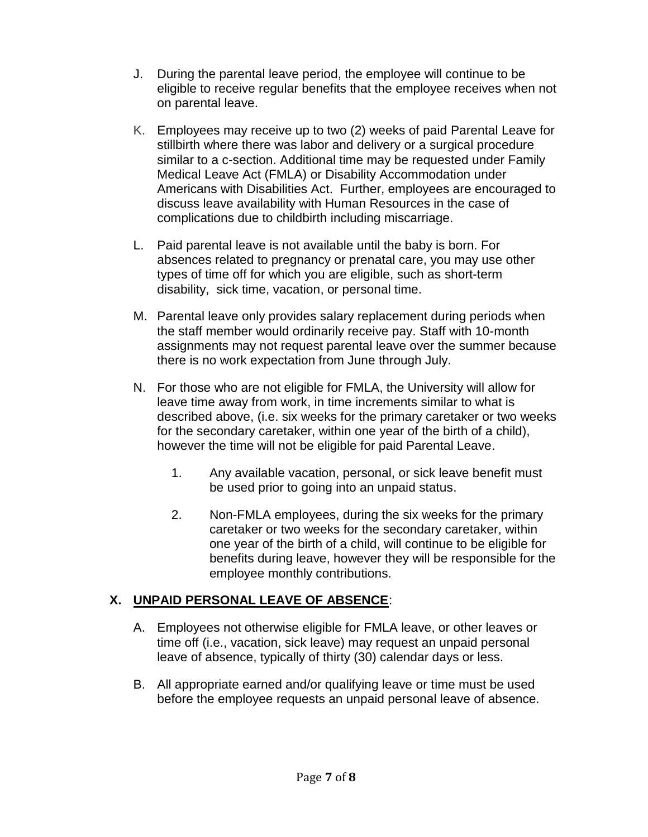- J. During the parental leave period, the employee will continue to be eligible to receive regular benefits that the employee receives when not on parental leave.
- K. Employees may receive up to two (2) weeks of paid Parental Leave for stillbirth where there was labor and delivery or a surgical procedure similar to a c-section. Additional time may be requested under Family Medical Leave Act (FMLA) or Disability Accommodation under Americans with Disabilities Act. Further, employees are encouraged to discuss leave availability with Human Resources in the case of complications due to childbirth including miscarriage.
- L. Paid parental leave is not available until the baby is born. For absences related to pregnancy or prenatal care, you may use other types of time off for which you are eligible, such as short-term disability, sick time, vacation, or personal time.
- M. Parental leave only provides salary replacement during periods when the staff member would ordinarily receive pay. Staff with 10-month assignments may not request parental leave over the summer because there is no work expectation from June through July.
- N. For those who are not eligible for FMLA, the University will allow for leave time away from work, in time increments similar to what is described above, (i.e. six weeks for the primary caretaker or two weeks for the secondary caretaker, within one year of the birth of a child), however the time will not be eligible for paid Parental Leave.
	- 1. Any available vacation, personal, or sick leave benefit must be used prior to going into an unpaid status.
	- 2. Non-FMLA employees, during the six weeks for the primary caretaker or two weeks for the secondary caretaker, within one year of the birth of a child, will continue to be eligible for benefits during leave, however they will be responsible for the employee monthly contributions.

## **X. UNPAID PERSONAL LEAVE OF ABSENCE**:

- A. Employees not otherwise eligible for FMLA leave, or other leaves or time off (i.e., vacation, sick leave) may request an unpaid personal leave of absence, typically of thirty (30) calendar days or less.
- B. All appropriate earned and/or qualifying leave or time must be used before the employee requests an unpaid personal leave of absence.